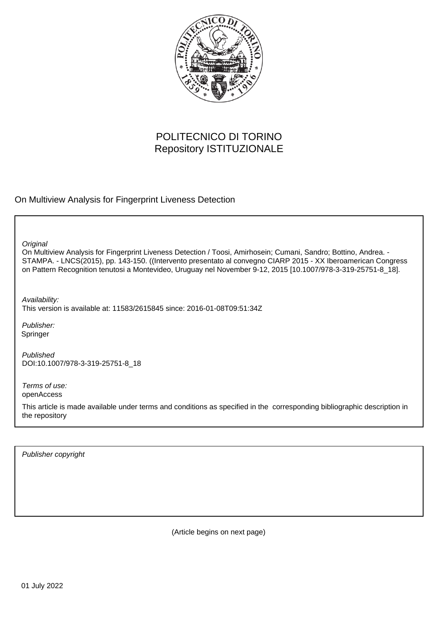

# POLITECNICO DI TORINO Repository ISTITUZIONALE

On Multiview Analysis for Fingerprint Liveness Detection

**Original** 

On Multiview Analysis for Fingerprint Liveness Detection / Toosi, Amirhosein; Cumani, Sandro; Bottino, Andrea. - STAMPA. - LNCS(2015), pp. 143-150. ((Intervento presentato al convegno CIARP 2015 - XX Iberoamerican Congress on Pattern Recognition tenutosi a Montevideo, Uruguay nel November 9-12, 2015 [10.1007/978-3-319-25751-8\_18].

Availability:

This version is available at: 11583/2615845 since: 2016-01-08T09:51:34Z

Publisher: Springer

Published DOI:10.1007/978-3-319-25751-8\_18

Terms of use: openAccess

This article is made available under terms and conditions as specified in the corresponding bibliographic description in the repository

Publisher copyright

(Article begins on next page)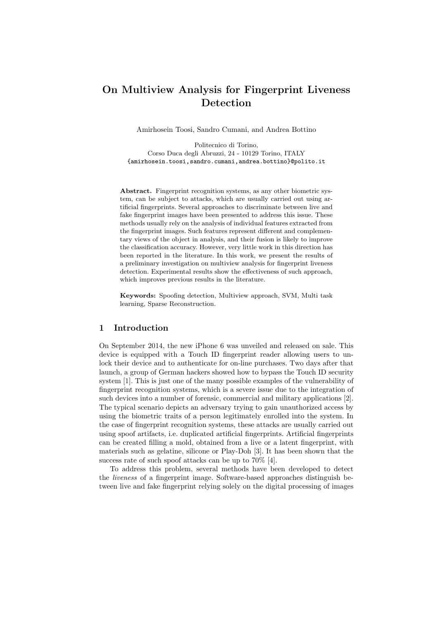## On Multiview Analysis for Fingerprint Liveness Detection

Amirhosein Toosi, Sandro Cumani, and Andrea Bottino

Politecnico di Torino, Corso Duca degli Abruzzi, 24 - 10129 Torino, ITALY {amirhosein.toosi,sandro.cumani,andrea.bottino}@polito.it

Abstract. Fingerprint recognition systems, as any other biometric system, can be subject to attacks, which are usually carried out using artificial fingerprints. Several approaches to discriminate between live and fake fingerprint images have been presented to address this issue. These methods usually rely on the analysis of individual features extracted from the fingerprint images. Such features represent different and complementary views of the object in analysis, and their fusion is likely to improve the classification accuracy. However, very little work in this direction has been reported in the literature. In this work, we present the results of a preliminary investigation on multiview analysis for fingerprint liveness detection. Experimental results show the effectiveness of such approach, which improves previous results in the literature.

Keywords: Spoofing detection, Multiview approach, SVM, Multi task learning, Sparse Reconstruction.

## 1 Introduction

On September 2014, the new iPhone 6 was unveiled and released on sale. This device is equipped with a Touch ID fingerprint reader allowing users to unlock their device and to authenticate for on-line purchases. Two days after that launch, a group of German hackers showed how to bypass the Touch ID security system [1]. This is just one of the many possible examples of the vulnerability of fingerprint recognition systems, which is a severe issue due to the integration of such devices into a number of forensic, commercial and military applications [2]. The typical scenario depicts an adversary trying to gain unauthorized access by using the biometric traits of a person legitimately enrolled into the system. In the case of fingerprint recognition systems, these attacks are usually carried out using spoof artifacts, i.e. duplicated artificial fingerprints. Artificial fingerprints can be created filling a mold, obtained from a live or a latent fingerprint, with materials such as gelatine, silicone or Play-Doh [3]. It has been shown that the success rate of such spoof attacks can be up to 70% [4].

To address this problem, several methods have been developed to detect the liveness of a fingerprint image. Software-based approaches distinguish between live and fake fingerprint relying solely on the digital processing of images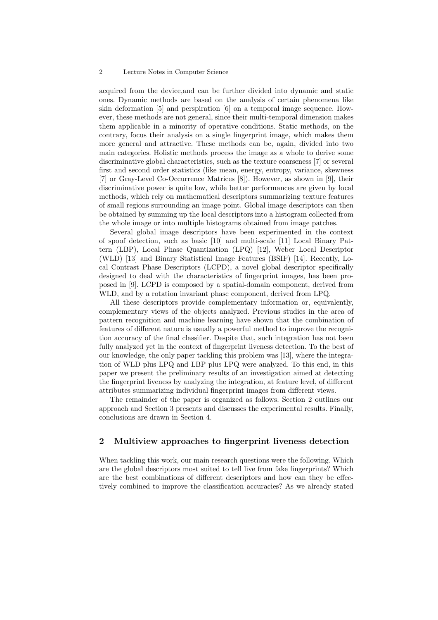#### 2 Lecture Notes in Computer Science

acquired from the device,and can be further divided into dynamic and static ones. Dynamic methods are based on the analysis of certain phenomena like skin deformation [5] and perspiration [6] on a temporal image sequence. However, these methods are not general, since their multi-temporal dimension makes them applicable in a minority of operative conditions. Static methods, on the contrary, focus their analysis on a single fingerprint image, which makes them more general and attractive. These methods can be, again, divided into two main categories. Holistic methods process the image as a whole to derive some discriminative global characteristics, such as the texture coarseness [7] or several first and second order statistics (like mean, energy, entropy, variance, skewness [7] or Gray-Level Co-Occurrence Matrices [8]). However, as shown in [9], their discriminative power is quite low, while better performances are given by local methods, which rely on mathematical descriptors summarizing texture features of small regions surrounding an image point. Global image descriptors can then be obtained by summing up the local descriptors into a histogram collected from the whole image or into multiple histograms obtained from image patches.

Several global image descriptors have been experimented in the context of spoof detection, such as basic [10] and multi-scale [11] Local Binary Pattern (LBP), Local Phase Quantization (LPQ) [12], Weber Local Descriptor (WLD) [13] and Binary Statistical Image Features (BSIF) [14]. Recently, Local Contrast Phase Descriptors (LCPD), a novel global descriptor specifically designed to deal with the characteristics of fingerprint images, has been proposed in [9]. LCPD is composed by a spatial-domain component, derived from WLD, and by a rotation invariant phase component, derived from LPQ.

All these descriptors provide complementary information or, equivalently, complementary views of the objects analyzed. Previous studies in the area of pattern recognition and machine learning have shown that the combination of features of different nature is usually a powerful method to improve the recognition accuracy of the final classifier. Despite that, such integration has not been fully analyzed yet in the context of fingerprint liveness detection. To the best of our knowledge, the only paper tackling this problem was [13], where the integration of WLD plus LPQ and LBP plus LPQ were analyzed. To this end, in this paper we present the preliminary results of an investigation aimed at detecting the fingerprint liveness by analyzing the integration, at feature level, of different attributes summarizing individual fingerprint images from different views.

The remainder of the paper is organized as follows. Section 2 outlines our approach and Section 3 presents and discusses the experimental results. Finally, conclusions are drawn in Section 4.

## 2 Multiview approaches to fingerprint liveness detection

When tackling this work, our main research questions were the following. Which are the global descriptors most suited to tell live from fake fingerprints? Which are the best combinations of different descriptors and how can they be effectively combined to improve the classification accuracies? As we already stated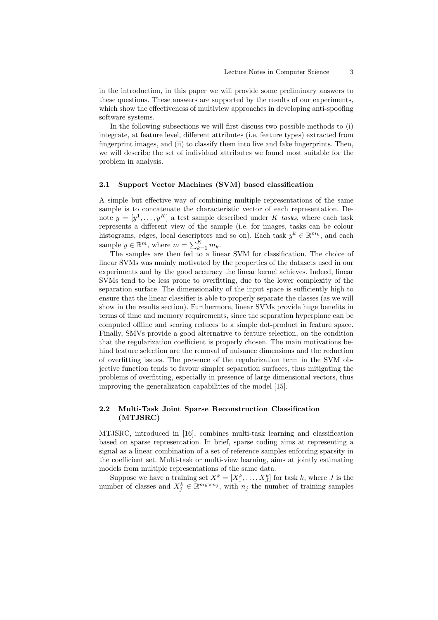in the introduction, in this paper we will provide some preliminary answers to these questions. These answers are supported by the results of our experiments, which show the effectiveness of multiview approaches in developing anti-spoofing software systems.

In the following subsections we will first discuss two possible methods to (i) integrate, at feature level, different attributes (i.e. feature types) extracted from fingerprint images, and (ii) to classify them into live and fake fingerprints. Then, we will describe the set of individual attributes we found most suitable for the problem in analysis.

#### 2.1 Support Vector Machines (SVM) based classification

A simple but effective way of combining multiple representations of the same sample is to concatenate the characteristic vector of each representation. Denote  $y = [y^1, \ldots, y^K]$  a test sample described under K tasks, where each task represents a different view of the sample (i.e. for images, tasks can be colour histograms, edges, local descriptors and so on). Each task  $y^k \in \mathbb{R}^{m_k}$ , and each sample  $y \in \mathbb{R}^m$ , where  $m = \sum_{k=1}^K m_k$ .

The samples are then fed to a linear SVM for classification. The choice of linear SVMs was mainly motivated by the properties of the datasets used in our experiments and by the good accuracy the linear kernel achieves. Indeed, linear SVMs tend to be less prone to overfitting, due to the lower complexity of the separation surface. The dimensionality of the input space is sufficiently high to ensure that the linear classifier is able to properly separate the classes (as we will show in the results section). Furthermore, linear SVMs provide huge benefits in terms of time and memory requirements, since the separation hyperplane can be computed offline and scoring reduces to a simple dot-product in feature space. Finally, SMVs provide a good alternative to feature selection, on the condition that the regularization coefficient is properly chosen. The main motivations behind feature selection are the removal of nuisance dimensions and the reduction of overfitting issues. The presence of the regularization term in the SVM objective function tends to favour simpler separation surfaces, thus mitigating the problems of overfitting, especially in presence of large dimensional vectors, thus improving the generalization capabilities of the model [15].

### 2.2 Multi-Task Joint Sparse Reconstruction Classification (MTJSRC)

MTJSRC, introduced in [16], combines multi-task learning and classification based on sparse representation. In brief, sparse coding aims at representing a signal as a linear combination of a set of reference samples enforcing sparsity in the coefficient set. Multi-task or multi-view learning, aims at jointly estimating models from multiple representations of the same data.

Suppose we have a training set  $X^k = [X_1^k, \ldots, X_J^k]$  for task k, where J is the number of classes and  $X_j^k \in \mathbb{R}^{m_k \times n_j}$ , with  $n_j$  the number of training samples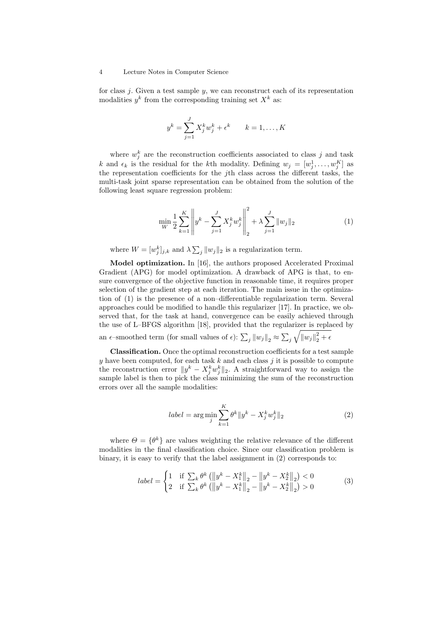#### 4 Lecture Notes in Computer Science

for class  $j$ . Given a test sample  $y$ , we can reconstruct each of its representation modalities  $y^k$  from the corresponding training set  $X^k$  as:

$$
y^{k} = \sum_{j=1}^{J} X_{j}^{k} w_{j}^{k} + \epsilon^{k} \qquad k = 1, \dots, K
$$

where  $w_j^k$  are the reconstruction coefficients associated to class j and task k and  $\epsilon_k$  is the residual for the k<sup>th</sup> modality. Defining  $w_j = [w_j^1, \ldots, w_j^K]$  as the representation coefficients for the jth class across the different tasks, the multi-task joint sparse representation can be obtained from the solution of the following least square regression problem:

$$
\min_{W} \frac{1}{2} \sum_{k=1}^{K} \left\| y^k - \sum_{j=1}^{J} X_j^k w_j^k \right\|_2^2 + \lambda \sum_{j=1}^{J} \| w_j \|_2 \tag{1}
$$

where  $W = [w_j^k]_{j,k}$  and  $\lambda \sum_j ||w_j||_2$  is a regularization term.

Model optimization. In [16], the authors proposed Accelerated Proximal Gradient (APG) for model optimization. A drawback of APG is that, to ensure convergence of the objective function in reasonable time, it requires proper selection of the gradient step at each iteration. The main issue in the optimization of (1) is the presence of a non–differentiable regularization term. Several approaches could be modified to handle this regularizer [17]. In practice, we observed that, for the task at hand, convergence can be easily achieved through the use of L–BFGS algorithm [18], provided that the regularizer is replaced by an  $\epsilon$ -smoothed term (for small values of  $\epsilon$ ):  $\sum_j ||w_j||_2 \approx \sum_j \sqrt{||w_j||_2^2 + \epsilon}$ 

Classification. Once the optimal reconstruction coefficients for a test sample y have been computed, for each task  $k$  and each class  $j$  it is possible to compute the reconstruction error  $||y^k - X_j^k w_j^k||_2$ . A straightforward way to assign the sample label is then to pick the class minimizing the sum of the reconstruction errors over all the sample modalities:

$$
label = \arg\min_{j} \sum_{k=1}^{K} \theta^{k} \|y^{k} - X_{j}^{k} w_{j}^{k}\|_{2}
$$
 (2)

where  $\Theta = {\theta^k}$  are values weighting the relative relevance of the different modalities in the final classification choice. Since our classification problem is binary, it is easy to verify that the label assignment in (2) corresponds to:

$$
label = \begin{cases} \n1 & \text{if } \sum_{k} \theta^{k} \left( \left\| y^{k} - X_{1}^{k} \right\|_{2} - \left\| y^{k} - X_{2}^{k} \right\|_{2} \right) < 0 \\
2 & \text{if } \sum_{k} \theta^{k} \left( \left\| y^{k} - X_{1}^{k} \right\|_{2} - \left\| y^{k} - X_{2}^{k} \right\|_{2} \right) > 0\n\end{cases} \tag{3}
$$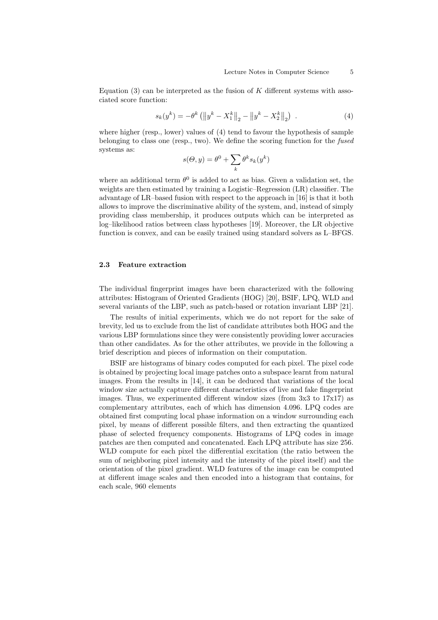Equation  $(3)$  can be interpreted as the fusion of K different systems with associated score function:

$$
s_k(y^k) = -\theta^k \left( \left\| y^k - X_1^k \right\|_2 - \left\| y^k - X_2^k \right\|_2 \right) \tag{4}
$$

where higher (resp., lower) values of (4) tend to favour the hypothesis of sample belonging to class one (resp., two). We define the scoring function for the *fused* systems as:

$$
s(\Theta, y) = \theta^0 + \sum_{k} \theta^k s_k(y^k)
$$

where an additional term  $\theta^0$  is added to act as bias. Given a validation set, the weights are then estimated by training a Logistic–Regression (LR) classifier. The advantage of LR–based fusion with respect to the approach in [16] is that it both allows to improve the discriminative ability of the system, and, instead of simply providing class membership, it produces outputs which can be interpreted as log–likelihood ratios between class hypotheses [19]. Moreover, the LR objective function is convex, and can be easily trained using standard solvers as L–BFGS.

#### 2.3 Feature extraction

The individual fingerprint images have been characterized with the following attributes: Histogram of Oriented Gradients (HOG) [20], BSIF, LPQ, WLD and several variants of the LBP, such as patch-based or rotation invariant LBP [21].

The results of initial experiments, which we do not report for the sake of brevity, led us to exclude from the list of candidate attributes both HOG and the various LBP formulations since they were consistently providing lower accuracies than other candidates. As for the other attributes, we provide in the following a brief description and pieces of information on their computation.

BSIF are histograms of binary codes computed for each pixel. The pixel code is obtained by projecting local image patches onto a subspace learnt from natural images. From the results in [14], it can be deduced that variations of the local window size actually capture different characteristics of live and fake fingerprint images. Thus, we experimented different window sizes (from 3x3 to 17x17) as complementary attributes, each of which has dimension 4.096. LPQ codes are obtained first computing local phase information on a window surrounding each pixel, by means of different possible filters, and then extracting the quantized phase of selected frequency components. Histograms of LPQ codes in image patches are then computed and concatenated. Each LPQ attribute has size 256. WLD compute for each pixel the differential excitation (the ratio between the sum of neighboring pixel intensity and the intensity of the pixel itself) and the orientation of the pixel gradient. WLD features of the image can be computed at different image scales and then encoded into a histogram that contains, for each scale, 960 elements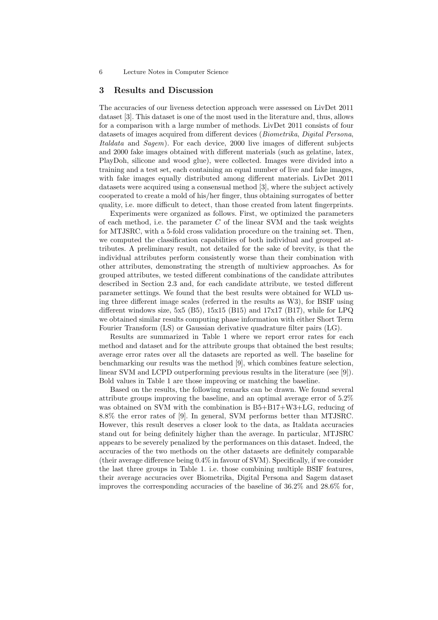#### 3 Results and Discussion

The accuracies of our liveness detection approach were assessed on LivDet 2011 dataset [3]. This dataset is one of the most used in the literature and, thus, allows for a comparison with a large number of methods. LivDet 2011 consists of four datasets of images acquired from different devices (Biometrika, Digital Persona, Italdata and Sagem). For each device, 2000 live images of different subjects and 2000 fake images obtained with different materials (such as gelatine, latex, PlayDoh, silicone and wood glue), were collected. Images were divided into a training and a test set, each containing an equal number of live and fake images, with fake images equally distributed among different materials. LivDet 2011 datasets were acquired using a consensual method [3], where the subject actively cooperated to create a mold of his/her finger, thus obtaining surrogates of better quality, i.e. more difficult to detect, than those created from latent fingerprints.

Experiments were organized as follows. First, we optimized the parameters of each method, i.e. the parameter  $C$  of the linear SVM and the task weights for MTJSRC, with a 5-fold cross validation procedure on the training set. Then, we computed the classification capabilities of both individual and grouped attributes. A preliminary result, not detailed for the sake of brevity, is that the individual attributes perform consistently worse than their combination with other attributes, demonstrating the strength of multiview approaches. As for grouped attributes, we tested different combinations of the candidate attributes described in Section 2.3 and, for each candidate attribute, we tested different parameter settings. We found that the best results were obtained for WLD using three different image scales (referred in the results as W3), for BSIF using different windows size, 5x5 (B5),  $15x15$  (B15) and  $17x17$  (B17), while for LPQ we obtained similar results computing phase information with either Short Term Fourier Transform (LS) or Gaussian derivative quadrature filter pairs (LG).

Results are summarized in Table 1 where we report error rates for each method and dataset and for the attribute groups that obtained the best results; average error rates over all the datasets are reported as well. The baseline for benchmarking our results was the method [9], which combines feature selection, linear SVM and LCPD outperforming previous results in the literature (see [9]). Bold values in Table 1 are those improving or matching the baseline.

Based on the results, the following remarks can be drawn. We found several attribute groups improving the baseline, and an optimal average error of 5.2% was obtained on SVM with the combination is  $B5+B17+W3+LG$ , reducing of 8.8% the error rates of [9]. In general, SVM performs better than MTJSRC. However, this result deserves a closer look to the data, as Italdata accuracies stand out for being definitely higher than the average. In particular, MTJSRC appears to be severely penalized by the performances on this dataset. Indeed, the accuracies of the two methods on the other datasets are definitely comparable (their average difference being 0.4% in favour of SVM). Specifically, if we consider the last three groups in Table 1. i.e. those combining multiple BSIF features, their average accuracies over Biometrika, Digital Persona and Sagem dataset improves the corresponding accuracies of the baseline of 36.2% and 28.6% for,

<sup>6</sup> Lecture Notes in Computer Science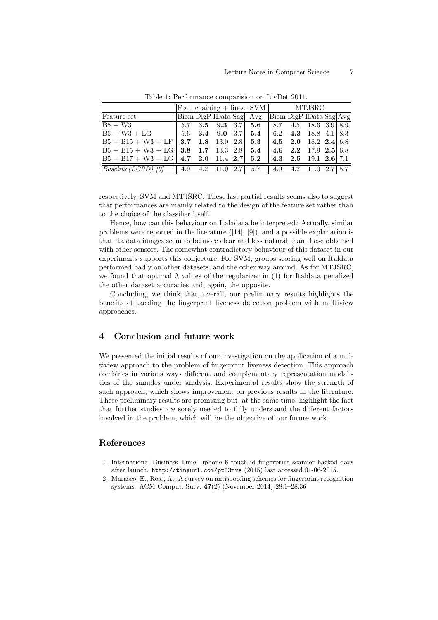|                                                                                             | $\left \text{Feat. chaining} + \text{linear SVM}\right $ MTJSRC |  |  |  |                                                                  |  |  |  |  |  |
|---------------------------------------------------------------------------------------------|-----------------------------------------------------------------|--|--|--|------------------------------------------------------------------|--|--|--|--|--|
| Feature set                                                                                 |                                                                 |  |  |  | Biom DigP IData Sag Avg Biom DigP IData Sag Avg                  |  |  |  |  |  |
| $B5 + W3$                                                                                   |                                                                 |  |  |  | $\parallel$ 5.7 3.5 9.3 3.7 5.6 $\parallel$ 8.7 4.5 18.6 3.9 8.9 |  |  |  |  |  |
| $B5 + W3 + LG$   5.6 3.4 9.0 3.7 5.4   6.2 4.3 18.8 4.1   8.3                               |                                                                 |  |  |  |                                                                  |  |  |  |  |  |
| $B5 + B15 + W3 + LF$ 3.7 1.8 13.0 2.8 5.3 4.5 2.0 18.2 2.4 6.8                              |                                                                 |  |  |  |                                                                  |  |  |  |  |  |
| $B5 + B15 + W3 + LG$ 3.8 1.7 13.3 2.8 5.4 4.6 2.2 17.9 2.5 6.8                              |                                                                 |  |  |  |                                                                  |  |  |  |  |  |
| $B5 + B17 + W3 + LG \parallel 4.7$ 2.0 11.4 2.7 5.2 $\parallel 4.3$ 2.5 19.1 2.6 7.1        |                                                                 |  |  |  |                                                                  |  |  |  |  |  |
| <i>Baseline(LCPD)</i> [9] $\parallel$ 4.9 4.2 11.0 2.7 5.7 $\parallel$ 4.9 4.2 11.0 2.7 5.7 |                                                                 |  |  |  |                                                                  |  |  |  |  |  |

Table 1: Performance comparision on LivDet 2011.

respectively, SVM and MTJSRC. These last partial results seems also to suggest that performances are mainly related to the design of the feature set rather than to the choice of the classifier itself.

Hence, how can this behaviour on Italadata be interpreted? Actually, similar problems were reported in the literature ([14], [9]), and a possible explanation is that Italdata images seem to be more clear and less natural than those obtained with other sensors. The somewhat contradictory behaviour of this dataset in our experiments supports this conjecture. For SVM, groups scoring well on Italdata performed badly on other datasets, and the other way around. As for MTJSRC, we found that optimal  $\lambda$  values of the regularizer in (1) for Italdata penalized the other dataset accuracies and, again, the opposite.

Concluding, we think that, overall, our preliminary results highlights the benefits of tackling the fingerprint liveness detection problem with multiview approaches.

## 4 Conclusion and future work

We presented the initial results of our investigation on the application of a multiview approach to the problem of fingerprint liveness detection. This approach combines in various ways different and complementary representation modalities of the samples under analysis. Experimental results show the strength of such approach, which shows improvement on previous results in the literature. These preliminary results are promising but, at the same time, highlight the fact that further studies are sorely needed to fully understand the different factors involved in the problem, which will be the objective of our future work.

### References

- 1. International Business Time: iphone 6 touch id fingerprint scanner hacked days after launch. <http://tinyurl.com/px33mre> (2015) last accessed 01-06-2015.
- 2. Marasco, E., Ross, A.: A survey on antispoofing schemes for fingerprint recognition systems. ACM Comput. Surv. 47(2) (November 2014) 28:1–28:36